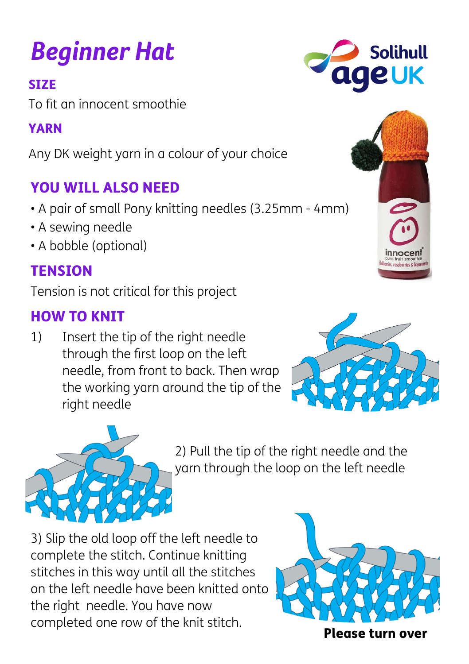# *Beginner Hat*

SIZE

To fit an innocent smoothie

#### YARN

Any DK weight yarn in a colour of your choice

## YOU WILL ALSO NEED

- A pair of small Pony knitting needles (3.25mm 4mm)
- A sewing needle
- A bobble (optional)

### **TENSION**

Tension is not critical for this project

#### HOW TO KNIT

1) Insert the tip of the right needle through the first loop on the left needle, from front to back. Then wrap the working yarn around the tip of the right needle

> 2) Pull the tip of the right needle and the yarn through the loop on the left needle

3) Slip the old loop off the left needle to complete the stitch. Continue knitting stitches in this way until all the stitches on the left needle have been knitted onto the right needle. You have now completed one row of the knit stitch.